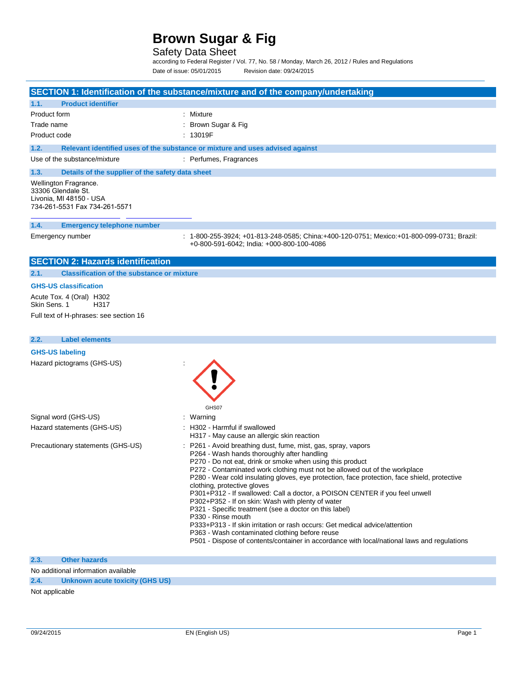Safety Data Sheet

according to Federal Register / Vol. 77, No. 58 / Monday, March 26, 2012 / Rules and Regulations Date of issue: 05/01/2015 Revision date: 09/24/2015

|                                                                                                         | SECTION 1: Identification of the substance/mixture and of the company/undertaking                                                                                                                                                                                                                                                                                                                                                                                                                                                                                                                                                                                                                                                                                                                                                        |
|---------------------------------------------------------------------------------------------------------|------------------------------------------------------------------------------------------------------------------------------------------------------------------------------------------------------------------------------------------------------------------------------------------------------------------------------------------------------------------------------------------------------------------------------------------------------------------------------------------------------------------------------------------------------------------------------------------------------------------------------------------------------------------------------------------------------------------------------------------------------------------------------------------------------------------------------------------|
| 1.1.<br><b>Product identifier</b>                                                                       |                                                                                                                                                                                                                                                                                                                                                                                                                                                                                                                                                                                                                                                                                                                                                                                                                                          |
| Product form                                                                                            | : Mixture                                                                                                                                                                                                                                                                                                                                                                                                                                                                                                                                                                                                                                                                                                                                                                                                                                |
| Trade name                                                                                              | : Brown Sugar & Fig                                                                                                                                                                                                                                                                                                                                                                                                                                                                                                                                                                                                                                                                                                                                                                                                                      |
| Product code                                                                                            | : 13019F                                                                                                                                                                                                                                                                                                                                                                                                                                                                                                                                                                                                                                                                                                                                                                                                                                 |
| 1.2.                                                                                                    | Relevant identified uses of the substance or mixture and uses advised against                                                                                                                                                                                                                                                                                                                                                                                                                                                                                                                                                                                                                                                                                                                                                            |
| Use of the substance/mixture                                                                            | : Perfumes, Fragrances                                                                                                                                                                                                                                                                                                                                                                                                                                                                                                                                                                                                                                                                                                                                                                                                                   |
| Details of the supplier of the safety data sheet<br>1.3.                                                |                                                                                                                                                                                                                                                                                                                                                                                                                                                                                                                                                                                                                                                                                                                                                                                                                                          |
| Wellington Fragrance.<br>33306 Glendale St.<br>Livonia, MI 48150 - USA<br>734-261-5531 Fax 734-261-5571 |                                                                                                                                                                                                                                                                                                                                                                                                                                                                                                                                                                                                                                                                                                                                                                                                                                          |
| 1.4.<br><b>Emergency telephone number</b>                                                               |                                                                                                                                                                                                                                                                                                                                                                                                                                                                                                                                                                                                                                                                                                                                                                                                                                          |
| Emergency number                                                                                        | : 1-800-255-3924; +01-813-248-0585; China:+400-120-0751; Mexico:+01-800-099-0731; Brazil:<br>+0-800-591-6042; India: +000-800-100-4086                                                                                                                                                                                                                                                                                                                                                                                                                                                                                                                                                                                                                                                                                                   |
| <b>SECTION 2: Hazards identification</b>                                                                |                                                                                                                                                                                                                                                                                                                                                                                                                                                                                                                                                                                                                                                                                                                                                                                                                                          |
| <b>Classification of the substance or mixture</b><br>2.1.                                               |                                                                                                                                                                                                                                                                                                                                                                                                                                                                                                                                                                                                                                                                                                                                                                                                                                          |
| <b>GHS-US classification</b>                                                                            |                                                                                                                                                                                                                                                                                                                                                                                                                                                                                                                                                                                                                                                                                                                                                                                                                                          |
| Acute Tox. 4 (Oral) H302<br>Skin Sens, 1<br>H317                                                        |                                                                                                                                                                                                                                                                                                                                                                                                                                                                                                                                                                                                                                                                                                                                                                                                                                          |
| Full text of H-phrases: see section 16                                                                  |                                                                                                                                                                                                                                                                                                                                                                                                                                                                                                                                                                                                                                                                                                                                                                                                                                          |
| <b>Label elements</b><br>2.2.                                                                           |                                                                                                                                                                                                                                                                                                                                                                                                                                                                                                                                                                                                                                                                                                                                                                                                                                          |
| <b>GHS-US labeling</b>                                                                                  |                                                                                                                                                                                                                                                                                                                                                                                                                                                                                                                                                                                                                                                                                                                                                                                                                                          |
| Hazard pictograms (GHS-US)                                                                              | GHS07                                                                                                                                                                                                                                                                                                                                                                                                                                                                                                                                                                                                                                                                                                                                                                                                                                    |
| Signal word (GHS-US)                                                                                    | : Warning                                                                                                                                                                                                                                                                                                                                                                                                                                                                                                                                                                                                                                                                                                                                                                                                                                |
| Hazard statements (GHS-US)                                                                              | : H302 - Harmful if swallowed<br>H317 - May cause an allergic skin reaction                                                                                                                                                                                                                                                                                                                                                                                                                                                                                                                                                                                                                                                                                                                                                              |
| Precautionary statements (GHS-US)                                                                       | P261 - Avoid breathing dust, fume, mist, gas, spray, vapors<br>P264 - Wash hands thoroughly after handling<br>P270 - Do not eat, drink or smoke when using this product<br>P272 - Contaminated work clothing must not be allowed out of the workplace<br>P280 - Wear cold insulating gloves, eye protection, face protection, face shield, protective<br>clothing, protective gloves<br>P301+P312 - If swallowed: Call a doctor, a POISON CENTER if you feel unwell<br>P302+P352 - If on skin: Wash with plenty of water<br>P321 - Specific treatment (see a doctor on this label)<br>P330 - Rinse mouth<br>P333+P313 - If skin irritation or rash occurs: Get medical advice/attention<br>P363 - Wash contaminated clothing before reuse<br>P501 - Dispose of contents/container in accordance with local/national laws and regulations |

**2.3. Other hazards**

No additional information available

**2.4. Unknown acute toxicity (GHS US)**

Not applicable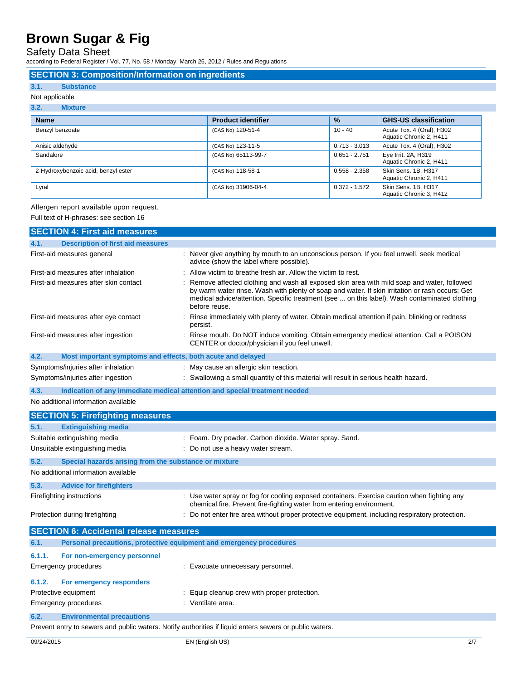Safety Data Sheet

according to Federal Register / Vol. 77, No. 58 / Monday, March 26, 2012 / Rules and Regulations

### **SECTION 3: Composition/Information on ingredients**

### **3.1. Substance**

### Not applicable

| 3.2.<br><b>Mixture</b>              |                           |                 |                                                      |
|-------------------------------------|---------------------------|-----------------|------------------------------------------------------|
| <b>Name</b>                         | <b>Product identifier</b> | $\frac{9}{6}$   | <b>GHS-US classification</b>                         |
| Benzyl benzoate                     | (CAS No) 120-51-4         | $10 - 40$       | Acute Tox. 4 (Oral), H302<br>Aquatic Chronic 2, H411 |
| Anisic aldehyde                     | (CAS No) 123-11-5         | $0.713 - 3.013$ | Acute Tox. 4 (Oral), H302                            |
| Sandalore                           | (CAS No) 65113-99-7       | $0.651 - 2.751$ | Eye Irrit. 2A, H319<br>Aquatic Chronic 2, H411       |
| 2-Hydroxybenzoic acid, benzyl ester | (CAS No) 118-58-1         | $0.558 - 2.358$ | Skin Sens. 1B, H317<br>Aquatic Chronic 2, H411       |
| Lyral                               | (CAS No) 31906-04-4       | $0.372 - 1.572$ | Skin Sens. 1B, H317<br>Aquatic Chronic 3, H412       |

### Allergen report available upon request.

Full text of H-phrases: see section 16

| <b>SECTION 4: First aid measures</b>                                 |                                                                                                                                                                                                                                                                                                                 |
|----------------------------------------------------------------------|-----------------------------------------------------------------------------------------------------------------------------------------------------------------------------------------------------------------------------------------------------------------------------------------------------------------|
| 4.1.<br><b>Description of first aid measures</b>                     |                                                                                                                                                                                                                                                                                                                 |
| First-aid measures general                                           | : Never give anything by mouth to an unconscious person. If you feel unwell, seek medical<br>advice (show the label where possible).                                                                                                                                                                            |
| First-aid measures after inhalation                                  | Allow victim to breathe fresh air. Allow the victim to rest.                                                                                                                                                                                                                                                    |
| First-aid measures after skin contact                                | Remove affected clothing and wash all exposed skin area with mild soap and water, followed<br>by warm water rinse. Wash with plenty of soap and water. If skin irritation or rash occurs: Get<br>medical advice/attention. Specific treatment (see  on this label). Wash contaminated clothing<br>before reuse. |
| First-aid measures after eye contact                                 | Rinse immediately with plenty of water. Obtain medical attention if pain, blinking or redness<br>persist.                                                                                                                                                                                                       |
| First-aid measures after ingestion                                   | Rinse mouth. Do NOT induce vomiting. Obtain emergency medical attention. Call a POISON<br>CENTER or doctor/physician if you feel unwell.                                                                                                                                                                        |
| 4.2.                                                                 | Most important symptoms and effects, both acute and delayed                                                                                                                                                                                                                                                     |
| Symptoms/injuries after inhalation                                   | : May cause an allergic skin reaction.                                                                                                                                                                                                                                                                          |
| Symptoms/injuries after ingestion                                    | : Swallowing a small quantity of this material will result in serious health hazard.                                                                                                                                                                                                                            |
| 4.3.                                                                 | Indication of any immediate medical attention and special treatment needed                                                                                                                                                                                                                                      |
| No additional information available                                  |                                                                                                                                                                                                                                                                                                                 |
| <b>SECTION 5: Firefighting measures</b>                              |                                                                                                                                                                                                                                                                                                                 |
| <b>Extinguishing media</b><br>5.1.                                   |                                                                                                                                                                                                                                                                                                                 |
| Suitable extinguishing media                                         | : Foam. Dry powder. Carbon dioxide. Water spray. Sand.                                                                                                                                                                                                                                                          |
| Unsuitable extinguishing media                                       | : Do not use a heavy water stream.                                                                                                                                                                                                                                                                              |
| 5.2.<br>Special hazards arising from the substance or mixture        |                                                                                                                                                                                                                                                                                                                 |
| No additional information available                                  |                                                                                                                                                                                                                                                                                                                 |
| 5.3.<br><b>Advice for firefighters</b>                               |                                                                                                                                                                                                                                                                                                                 |
| Firefighting instructions                                            | : Use water spray or fog for cooling exposed containers. Exercise caution when fighting any<br>chemical fire. Prevent fire-fighting water from entering environment.                                                                                                                                            |
| Protection during firefighting                                       | : Do not enter fire area without proper protective equipment, including respiratory protection.                                                                                                                                                                                                                 |
| <b>SECTION 6: Accidental release measures</b>                        |                                                                                                                                                                                                                                                                                                                 |
| 6.1.                                                                 | Personal precautions, protective equipment and emergency procedures                                                                                                                                                                                                                                             |
| 6.1.1.<br>For non-emergency personnel                                |                                                                                                                                                                                                                                                                                                                 |
| Emergency procedures                                                 | : Evacuate unnecessary personnel.                                                                                                                                                                                                                                                                               |
| 6.1.2.<br>For emergency responders                                   |                                                                                                                                                                                                                                                                                                                 |
| Protective equipment<br>: Equip cleanup crew with proper protection. |                                                                                                                                                                                                                                                                                                                 |
| Emergency procedures                                                 | : Ventilate area.                                                                                                                                                                                                                                                                                               |
| 6.2.<br><b>Environmental precautions</b>                             |                                                                                                                                                                                                                                                                                                                 |
|                                                                      | Prevent entry to sewers and public waters. Notify authorities if liquid enters sewers or public waters.                                                                                                                                                                                                         |
|                                                                      |                                                                                                                                                                                                                                                                                                                 |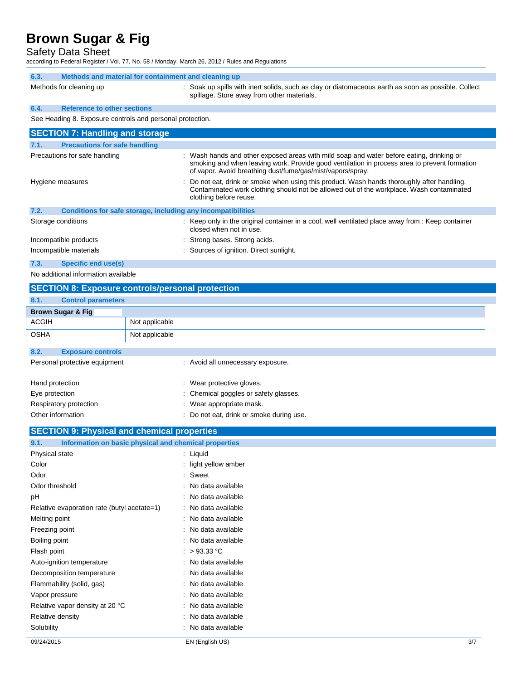Safety Data Sheet

according to Federal Register / Vol. 77, No. 58 / Monday, March 26, 2012 / Rules and Regulations

| 6.3.                                                      | Methods and material for containment and cleaning up |                                                                                                                                                                                                                                                        |  |
|-----------------------------------------------------------|------------------------------------------------------|--------------------------------------------------------------------------------------------------------------------------------------------------------------------------------------------------------------------------------------------------------|--|
|                                                           | Methods for cleaning up                              | : Soak up spills with inert solids, such as clay or diatomaceous earth as soon as possible. Collect<br>spillage. Store away from other materials.                                                                                                      |  |
| 6.4.                                                      | <b>Reference to other sections</b>                   |                                                                                                                                                                                                                                                        |  |
| See Heading 8. Exposure controls and personal protection. |                                                      |                                                                                                                                                                                                                                                        |  |
| <b>SECTION 7: Handling and storage</b>                    |                                                      |                                                                                                                                                                                                                                                        |  |
|                                                           |                                                      |                                                                                                                                                                                                                                                        |  |
| 7.1.                                                      | <b>Precautions for safe handling</b>                 |                                                                                                                                                                                                                                                        |  |
|                                                           | Precautions for safe handling                        | : Wash hands and other exposed areas with mild soap and water before eating, drinking or<br>smoking and when leaving work. Provide good ventilation in process area to prevent formation<br>of vapor. Avoid breathing dust/fume/gas/mist/vapors/spray. |  |

|      |                                                              | Contaminated work clothing should not be allowed out of the workplace. Wash contaminated<br>clothing before reuse.           |
|------|--------------------------------------------------------------|------------------------------------------------------------------------------------------------------------------------------|
| 7.2. | Conditions for safe storage, including any incompatibilities |                                                                                                                              |
|      | Storage conditions                                           | : Keep only in the original container in a cool, well ventilated place away from : Keep container<br>closed when not in use. |
|      | Incompatible products                                        | : Strong bases. Strong acids.                                                                                                |
|      | Incompatible materials                                       | : Sources of ignition. Direct sunlight.                                                                                      |
| 7.3. | Specific end use(s)                                          |                                                                                                                              |

Hygiene measures : Do not eat, drink or smoke when using this product. Wash hands thoroughly after handling.

No additional information available

# **SECTION 8: Exposure controls/personal protection**

| 8.1.            | <b>Control parameters</b>     |                |                                       |
|-----------------|-------------------------------|----------------|---------------------------------------|
|                 | <b>Brown Sugar &amp; Fig.</b> |                |                                       |
| <b>ACGIH</b>    |                               | Not applicable |                                       |
| <b>OSHA</b>     |                               | Not applicable |                                       |
|                 |                               |                |                                       |
| 8.2.            | <b>Exposure controls</b>      |                |                                       |
|                 | Personal protective equipment |                | : Avoid all unnecessary exposure.     |
| Hand protection |                               |                | : Wear protective gloves.             |
| Eye protection  |                               |                | : Chemical goggles or safety glasses. |
|                 | Respiratory protection        |                | : Wear appropriate mask.              |

| Other information | : Do not eat, drink or smoke during use. |
|-------------------|------------------------------------------|
|                   |                                          |

| <b>SECTION 9: Physical and chemical properties</b>            |                      |     |
|---------------------------------------------------------------|----------------------|-----|
| Information on basic physical and chemical properties<br>9.1. |                      |     |
| Physical state                                                | : Liquid             |     |
| Color                                                         | : light yellow amber |     |
| Odor                                                          | : Sweet              |     |
| Odor threshold                                                | : No data available  |     |
| рH                                                            | : No data available  |     |
| Relative evaporation rate (butyl acetate=1)                   | : No data available  |     |
| Melting point                                                 | : No data available  |     |
| Freezing point                                                | : No data available  |     |
| Boiling point                                                 | : No data available  |     |
| Flash point                                                   | : $>93.33$ °C        |     |
| Auto-ignition temperature                                     | : No data available  |     |
| Decomposition temperature                                     | : No data available  |     |
| Flammability (solid, gas)                                     | : No data available  |     |
| Vapor pressure                                                | : No data available  |     |
| Relative vapor density at 20 °C                               | : No data available  |     |
| Relative density                                              | : No data available  |     |
| Solubility                                                    | : No data available  |     |
| 09/24/2015                                                    | EN (English US)      | 3/7 |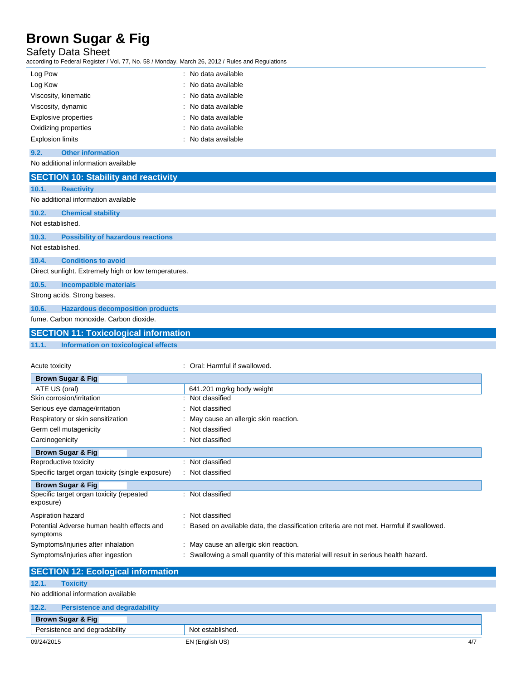Safety Data Sheet

according to Federal Register / Vol. 77, No. 58 / Monday, March 26, 2012 / Rules and Regulations

| Log Pow                 | : No data available |
|-------------------------|---------------------|
| Log Kow                 | : No data available |
| Viscosity, kinematic    | : No data available |
| Viscosity, dynamic      | : No data available |
| Explosive properties    | : No data available |
| Oxidizing properties    | : No data available |
| <b>Explosion limits</b> | : No data available |

### **9.2. Other information**

No additional information available

|                  | <b>SECTION 10: Stability and reactivity</b>          |                               |
|------------------|------------------------------------------------------|-------------------------------|
| 10.1.            | <b>Reactivity</b>                                    |                               |
|                  | No additional information available                  |                               |
| 10.2.            | <b>Chemical stability</b>                            |                               |
| Not established. |                                                      |                               |
| 10.3.            | <b>Possibility of hazardous reactions</b>            |                               |
| Not established. |                                                      |                               |
| 10.4.            | <b>Conditions to avoid</b>                           |                               |
|                  | Direct sunlight. Extremely high or low temperatures. |                               |
| 10.5.            | <b>Incompatible materials</b>                        |                               |
|                  | Strong acids. Strong bases.                          |                               |
| 10.6.            | <b>Hazardous decomposition products</b>              |                               |
|                  | fume. Carbon monoxide. Carbon dioxide.               |                               |
|                  | <b>SECTION 11: Toxicological information</b>         |                               |
| 11.1.            | Information on toxicological effects                 |                               |
| Acute toxicity   | Business Original O. Place                           | : Oral: Harmful if swallowed. |

| <b>Brown Sugar &amp; Fig.</b>                          |                                                                                           |
|--------------------------------------------------------|-------------------------------------------------------------------------------------------|
| ATE US (oral)                                          | 641.201 mg/kg body weight                                                                 |
| Skin corrosion/irritation                              | : Not classified                                                                          |
|                                                        |                                                                                           |
| Serious eye damage/irritation                          | : Not classified                                                                          |
| Respiratory or skin sensitization                      | : May cause an allergic skin reaction.                                                    |
| Germ cell mutagenicity                                 | : Not classified                                                                          |
| Carcinogenicity                                        | : Not classified                                                                          |
| <b>Brown Sugar &amp; Fig.</b>                          |                                                                                           |
| Reproductive toxicity                                  | : Not classified                                                                          |
| Specific target organ toxicity (single exposure)       | : Not classified                                                                          |
| <b>Brown Sugar &amp; Fig.</b>                          |                                                                                           |
| Specific target organ toxicity (repeated<br>exposure)  | : Not classified                                                                          |
| Aspiration hazard                                      | : Not classified                                                                          |
| Potential Adverse human health effects and<br>symptoms | : Based on available data, the classification criteria are not met. Harmful if swallowed. |
| Symptoms/injuries after inhalation                     | : May cause an allergic skin reaction.                                                    |
| Symptoms/injuries after ingestion                      | Swallowing a small quantity of this material will result in serious health hazard.        |

| <b>SECTION 12: Ecological information</b>     |                  |     |
|-----------------------------------------------|------------------|-----|
| 12.1.<br><b>Toxicity</b>                      |                  |     |
| No additional information available           |                  |     |
| 12.2.<br><b>Persistence and degradability</b> |                  |     |
| <b>Brown Sugar &amp; Fig</b>                  |                  |     |
| Persistence and degradability                 | Not established. |     |
| 09/24/2015                                    | EN (English US)  | 4/7 |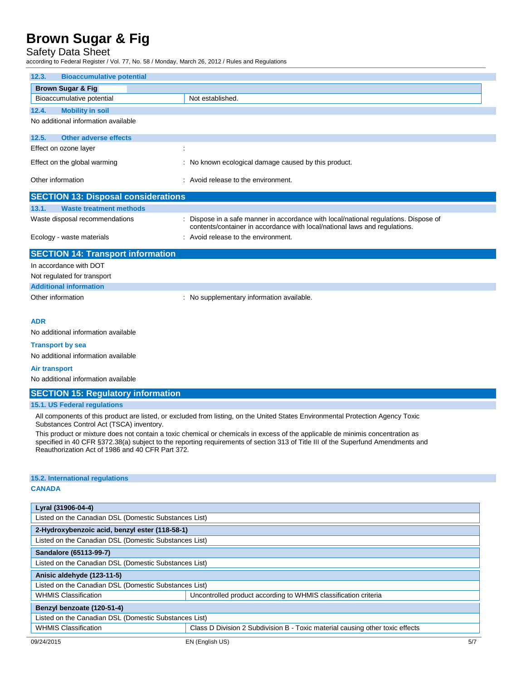## Safety Data Sheet

according to Federal Register / Vol. 77, No. 58 / Monday, March 26, 2012 / Rules and Regulations

| 12.3.                                      | <b>Bioaccumulative potential</b> |                                                                                                                                                                  |  |  |  |  |
|--------------------------------------------|----------------------------------|------------------------------------------------------------------------------------------------------------------------------------------------------------------|--|--|--|--|
| <b>Brown Sugar &amp; Fig</b>               |                                  |                                                                                                                                                                  |  |  |  |  |
| Bioaccumulative potential                  |                                  | Not established.                                                                                                                                                 |  |  |  |  |
| 12.4.                                      | <b>Mobility in soil</b>          |                                                                                                                                                                  |  |  |  |  |
| No additional information available        |                                  |                                                                                                                                                                  |  |  |  |  |
| 12.5.                                      | <b>Other adverse effects</b>     |                                                                                                                                                                  |  |  |  |  |
| Effect on ozone layer                      |                                  |                                                                                                                                                                  |  |  |  |  |
| Effect on the global warming               |                                  | : No known ecological damage caused by this product.                                                                                                             |  |  |  |  |
| Other information                          |                                  | : Avoid release to the environment.                                                                                                                              |  |  |  |  |
| <b>SECTION 13: Disposal considerations</b> |                                  |                                                                                                                                                                  |  |  |  |  |
| 13.1.                                      | <b>Waste treatment methods</b>   |                                                                                                                                                                  |  |  |  |  |
| Waste disposal recommendations             |                                  | Dispose in a safe manner in accordance with local/national regulations. Dispose of<br>contents/container in accordance with local/national laws and regulations. |  |  |  |  |
| Ecology - waste materials                  |                                  | : Avoid release to the environment.                                                                                                                              |  |  |  |  |
| <b>SECTION 14: Transport information</b>   |                                  |                                                                                                                                                                  |  |  |  |  |
| In accordance with DOT                     |                                  |                                                                                                                                                                  |  |  |  |  |
| Not regulated for transport                |                                  |                                                                                                                                                                  |  |  |  |  |
| <b>Additional information</b>              |                                  |                                                                                                                                                                  |  |  |  |  |
| Other information                          |                                  | : No supplementary information available.                                                                                                                        |  |  |  |  |
| <b>ADR</b>                                 |                                  |                                                                                                                                                                  |  |  |  |  |

No additional information available

#### **Transport by sea**

No additional information available

#### **Air transport**

No additional information available

### **SECTION 15: Regulatory information**

### **15.1. US Federal regulations**

All components of this product are listed, or excluded from listing, on the United States Environmental Protection Agency Toxic Substances Control Act (TSCA) inventory.

This product or mixture does not contain a toxic chemical or chemicals in excess of the applicable de minimis concentration as specified in 40 CFR §372.38(a) subject to the reporting requirements of section 313 of Title III of the Superfund Amendments and Reauthorization Act of 1986 and 40 CFR Part 372.

### **15.2. International regulations**

### **CANADA**

| Lyral (31906-04-4)                                    |                                                                               |  |  |  |  |
|-------------------------------------------------------|-------------------------------------------------------------------------------|--|--|--|--|
| Listed on the Canadian DSL (Domestic Substances List) |                                                                               |  |  |  |  |
| 2-Hydroxybenzoic acid, benzyl ester (118-58-1)        |                                                                               |  |  |  |  |
| Listed on the Canadian DSL (Domestic Substances List) |                                                                               |  |  |  |  |
| Sandalore (65113-99-7)                                |                                                                               |  |  |  |  |
| Listed on the Canadian DSL (Domestic Substances List) |                                                                               |  |  |  |  |
| Anisic aldehyde (123-11-5)                            |                                                                               |  |  |  |  |
| Listed on the Canadian DSL (Domestic Substances List) |                                                                               |  |  |  |  |
| <b>WHMIS Classification</b>                           | Uncontrolled product according to WHMIS classification criteria               |  |  |  |  |
| Benzyl benzoate (120-51-4)                            |                                                                               |  |  |  |  |
| Listed on the Canadian DSL (Domestic Substances List) |                                                                               |  |  |  |  |
| <b>WHMIS Classification</b>                           | Class D Division 2 Subdivision B - Toxic material causing other toxic effects |  |  |  |  |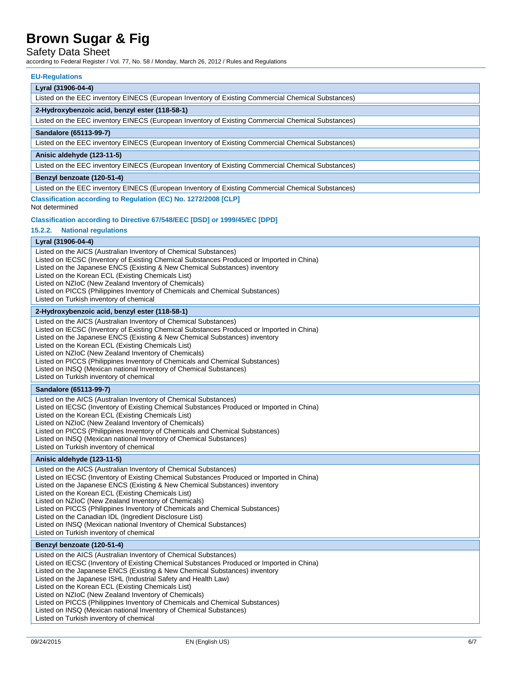# Safety Data Sheet

according to Federal Register / Vol. 77, No. 58 / Monday, March 26, 2012 / Rules and Regulations

### **EU-Regulations**

| Lyral (31906-04-4)                                                                                 |  |  |  |  |
|----------------------------------------------------------------------------------------------------|--|--|--|--|
| Listed on the EEC inventory EINECS (European Inventory of Existing Commercial Chemical Substances) |  |  |  |  |
| 2-Hydroxybenzoic acid, benzyl ester (118-58-1)                                                     |  |  |  |  |
| Listed on the EEC inventory EINECS (European Inventory of Existing Commercial Chemical Substances) |  |  |  |  |
| Sandalore (65113-99-7)                                                                             |  |  |  |  |
| Listed on the EEC inventory EINECS (European Inventory of Existing Commercial Chemical Substances) |  |  |  |  |
| Anisic aldehyde (123-11-5)                                                                         |  |  |  |  |
| Listed on the EEC inventory EINECS (European Inventory of Existing Commercial Chemical Substances) |  |  |  |  |
| Benzyl benzoate (120-51-4)                                                                         |  |  |  |  |
| Listed on the EEC inventory EINECS (European Inventory of Existing Commercial Chemical Substances) |  |  |  |  |

## **Classification according to Regulation (EC) No. 1272/2008 [CLP]**

Not determined

### **Classification according to Directive 67/548/EEC [DSD] or 1999/45/EC [DPD]**

### **15.2.2. National regulations**

### **Lyral (31906-04-4)**

| Listed on the AICS (Australian Inventory of Chemical Substances)<br>Listed on IECSC (Inventory of Existing Chemical Substances Produced or Imported in China)<br>Listed on the Japanese ENCS (Existing & New Chemical Substances) inventory<br>Listed on the Korean ECL (Existing Chemicals List)<br>Listed on NZIoC (New Zealand Inventory of Chemicals)<br>Listed on PICCS (Philippines Inventory of Chemicals and Chemical Substances)<br>Listed on Turkish inventory of chemical                                                                                                                                         |  |  |  |  |
|------------------------------------------------------------------------------------------------------------------------------------------------------------------------------------------------------------------------------------------------------------------------------------------------------------------------------------------------------------------------------------------------------------------------------------------------------------------------------------------------------------------------------------------------------------------------------------------------------------------------------|--|--|--|--|
| 2-Hydroxybenzoic acid, benzyl ester (118-58-1)                                                                                                                                                                                                                                                                                                                                                                                                                                                                                                                                                                               |  |  |  |  |
| Listed on the AICS (Australian Inventory of Chemical Substances)<br>Listed on IECSC (Inventory of Existing Chemical Substances Produced or Imported in China)<br>Listed on the Japanese ENCS (Existing & New Chemical Substances) inventory<br>Listed on the Korean ECL (Existing Chemicals List)<br>Listed on NZIoC (New Zealand Inventory of Chemicals)<br>Listed on PICCS (Philippines Inventory of Chemicals and Chemical Substances)<br>Listed on INSQ (Mexican national Inventory of Chemical Substances)<br>Listed on Turkish inventory of chemical                                                                   |  |  |  |  |
| Sandalore (65113-99-7)                                                                                                                                                                                                                                                                                                                                                                                                                                                                                                                                                                                                       |  |  |  |  |
| Listed on the AICS (Australian Inventory of Chemical Substances)<br>Listed on IECSC (Inventory of Existing Chemical Substances Produced or Imported in China)<br>Listed on the Korean ECL (Existing Chemicals List)<br>Listed on NZIoC (New Zealand Inventory of Chemicals)<br>Listed on PICCS (Philippines Inventory of Chemicals and Chemical Substances)<br>Listed on INSQ (Mexican national Inventory of Chemical Substances)<br>Listed on Turkish inventory of chemical                                                                                                                                                 |  |  |  |  |
| Anisic aldehyde (123-11-5)                                                                                                                                                                                                                                                                                                                                                                                                                                                                                                                                                                                                   |  |  |  |  |
| Listed on the AICS (Australian Inventory of Chemical Substances)<br>Listed on IECSC (Inventory of Existing Chemical Substances Produced or Imported in China)<br>Listed on the Japanese ENCS (Existing & New Chemical Substances) inventory<br>Listed on the Korean ECL (Existing Chemicals List)<br>Listed on NZIoC (New Zealand Inventory of Chemicals)<br>Listed on PICCS (Philippines Inventory of Chemicals and Chemical Substances)<br>Listed on the Canadian IDL (Ingredient Disclosure List)<br>Listed on INSQ (Mexican national Inventory of Chemical Substances)<br>Listed on Turkish inventory of chemical        |  |  |  |  |
| Benzyl benzoate (120-51-4)                                                                                                                                                                                                                                                                                                                                                                                                                                                                                                                                                                                                   |  |  |  |  |
| Listed on the AICS (Australian Inventory of Chemical Substances)<br>Listed on IECSC (Inventory of Existing Chemical Substances Produced or Imported in China)<br>Listed on the Japanese ENCS (Existing & New Chemical Substances) inventory<br>Listed on the Japanese ISHL (Industrial Safety and Health Law)<br>Listed on the Korean ECL (Existing Chemicals List)<br>Listed on NZIoC (New Zealand Inventory of Chemicals)<br>Listed on PICCS (Philippines Inventory of Chemicals and Chemical Substances)<br>Listed on INSQ (Mexican national Inventory of Chemical Substances)<br>Listed on Turkish inventory of chemical |  |  |  |  |